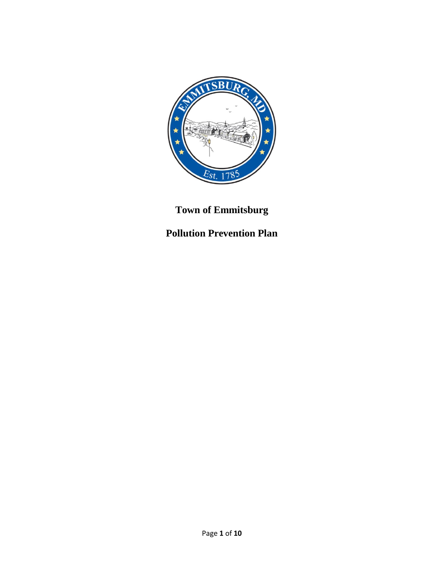

# **Town of Emmitsburg**

# **Pollution Prevention Plan**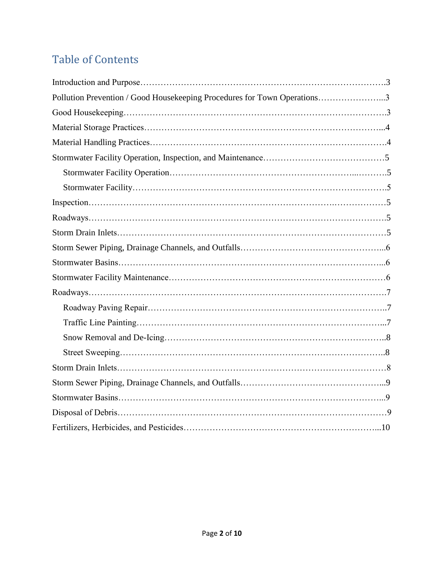# Table of Contents

| Pollution Prevention / Good Housekeeping Procedures for Town Operations3 |
|--------------------------------------------------------------------------|
|                                                                          |
|                                                                          |
|                                                                          |
|                                                                          |
|                                                                          |
|                                                                          |
|                                                                          |
|                                                                          |
|                                                                          |
|                                                                          |
|                                                                          |
|                                                                          |
|                                                                          |
|                                                                          |
|                                                                          |
|                                                                          |
|                                                                          |
|                                                                          |
|                                                                          |
|                                                                          |
|                                                                          |
|                                                                          |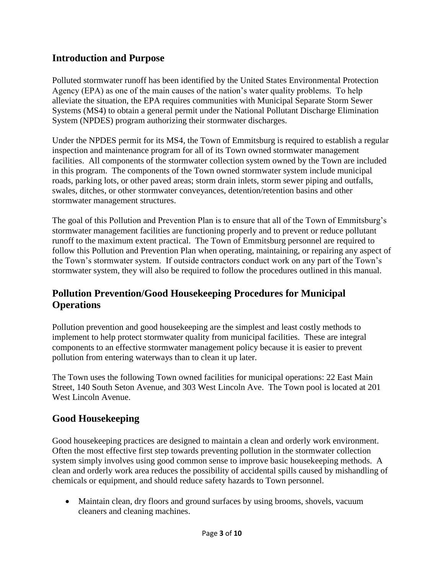#### **Introduction and Purpose**

Polluted stormwater runoff has been identified by the United States Environmental Protection Agency (EPA) as one of the main causes of the nation's water quality problems. To help alleviate the situation, the EPA requires communities with Municipal Separate Storm Sewer Systems (MS4) to obtain a general permit under the National Pollutant Discharge Elimination System (NPDES) program authorizing their stormwater discharges.

Under the NPDES permit for its MS4, the Town of Emmitsburg is required to establish a regular inspection and maintenance program for all of its Town owned stormwater management facilities. All components of the stormwater collection system owned by the Town are included in this program. The components of the Town owned stormwater system include municipal roads, parking lots, or other paved areas; storm drain inlets, storm sewer piping and outfalls, swales, ditches, or other stormwater conveyances, detention/retention basins and other stormwater management structures.

The goal of this Pollution and Prevention Plan is to ensure that all of the Town of Emmitsburg's stormwater management facilities are functioning properly and to prevent or reduce pollutant runoff to the maximum extent practical. The Town of Emmitsburg personnel are required to follow this Pollution and Prevention Plan when operating, maintaining, or repairing any aspect of the Town's stormwater system. If outside contractors conduct work on any part of the Town's stormwater system, they will also be required to follow the procedures outlined in this manual.

#### **Pollution Prevention/Good Housekeeping Procedures for Municipal Operations**

Pollution prevention and good housekeeping are the simplest and least costly methods to implement to help protect stormwater quality from municipal facilities. These are integral components to an effective stormwater management policy because it is easier to prevent pollution from entering waterways than to clean it up later.

The Town uses the following Town owned facilities for municipal operations: 22 East Main Street, 140 South Seton Avenue, and 303 West Lincoln Ave. The Town pool is located at 201 West Lincoln Avenue.

#### **Good Housekeeping**

Good housekeeping practices are designed to maintain a clean and orderly work environment. Often the most effective first step towards preventing pollution in the stormwater collection system simply involves using good common sense to improve basic housekeeping methods. A clean and orderly work area reduces the possibility of accidental spills caused by mishandling of chemicals or equipment, and should reduce safety hazards to Town personnel.

• Maintain clean, dry floors and ground surfaces by using brooms, shovels, vacuum cleaners and cleaning machines.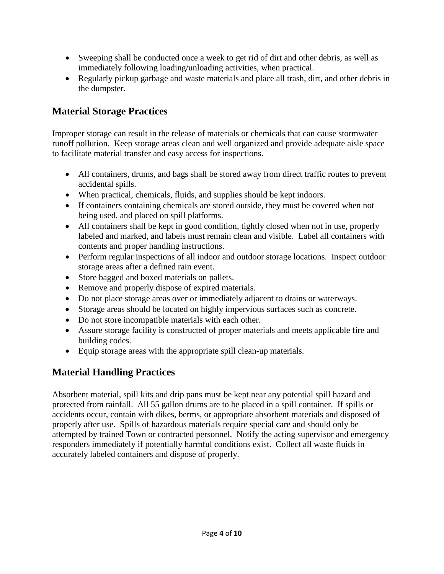- Sweeping shall be conducted once a week to get rid of dirt and other debris, as well as immediately following loading/unloading activities, when practical.
- Regularly pickup garbage and waste materials and place all trash, dirt, and other debris in the dumpster.

# **Material Storage Practices**

Improper storage can result in the release of materials or chemicals that can cause stormwater runoff pollution. Keep storage areas clean and well organized and provide adequate aisle space to facilitate material transfer and easy access for inspections.

- All containers, drums, and bags shall be stored away from direct traffic routes to prevent accidental spills.
- When practical, chemicals, fluids, and supplies should be kept indoors.
- If containers containing chemicals are stored outside, they must be covered when not being used, and placed on spill platforms.
- All containers shall be kept in good condition, tightly closed when not in use, properly labeled and marked, and labels must remain clean and visible. Label all containers with contents and proper handling instructions.
- Perform regular inspections of all indoor and outdoor storage locations. Inspect outdoor storage areas after a defined rain event.
- Store bagged and boxed materials on pallets.
- Remove and properly dispose of expired materials.
- Do not place storage areas over or immediately adjacent to drains or waterways.
- Storage areas should be located on highly impervious surfaces such as concrete.
- Do not store incompatible materials with each other.
- Assure storage facility is constructed of proper materials and meets applicable fire and building codes.
- Equip storage areas with the appropriate spill clean-up materials.

# **Material Handling Practices**

Absorbent material, spill kits and drip pans must be kept near any potential spill hazard and protected from rainfall. All 55 gallon drums are to be placed in a spill container. If spills or accidents occur, contain with dikes, berms, or appropriate absorbent materials and disposed of properly after use. Spills of hazardous materials require special care and should only be attempted by trained Town or contracted personnel. Notify the acting supervisor and emergency responders immediately if potentially harmful conditions exist. Collect all waste fluids in accurately labeled containers and dispose of properly.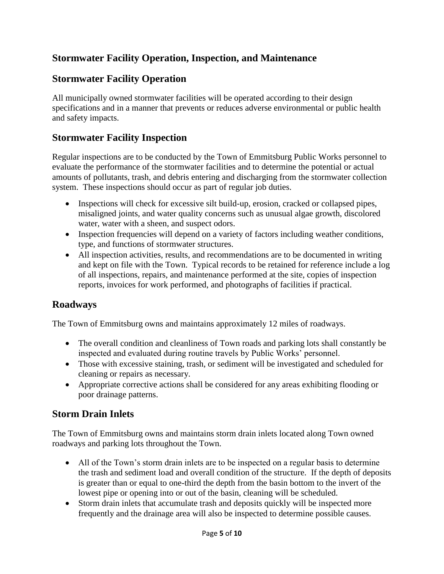# **Stormwater Facility Operation, Inspection, and Maintenance**

# **Stormwater Facility Operation**

All municipally owned stormwater facilities will be operated according to their design specifications and in a manner that prevents or reduces adverse environmental or public health and safety impacts.

#### **Stormwater Facility Inspection**

Regular inspections are to be conducted by the Town of Emmitsburg Public Works personnel to evaluate the performance of the stormwater facilities and to determine the potential or actual amounts of pollutants, trash, and debris entering and discharging from the stormwater collection system. These inspections should occur as part of regular job duties.

- Inspections will check for excessive silt build-up, erosion, cracked or collapsed pipes, misaligned joints, and water quality concerns such as unusual algae growth, discolored water, water with a sheen, and suspect odors.
- Inspection frequencies will depend on a variety of factors including weather conditions, type, and functions of stormwater structures.
- All inspection activities, results, and recommendations are to be documented in writing and kept on file with the Town. Typical records to be retained for reference include a log of all inspections, repairs, and maintenance performed at the site, copies of inspection reports, invoices for work performed, and photographs of facilities if practical.

#### **Roadways**

The Town of Emmitsburg owns and maintains approximately 12 miles of roadways.

- The overall condition and cleanliness of Town roads and parking lots shall constantly be inspected and evaluated during routine travels by Public Works' personnel.
- Those with excessive staining, trash, or sediment will be investigated and scheduled for cleaning or repairs as necessary.
- Appropriate corrective actions shall be considered for any areas exhibiting flooding or poor drainage patterns.

#### **Storm Drain Inlets**

The Town of Emmitsburg owns and maintains storm drain inlets located along Town owned roadways and parking lots throughout the Town.

- All of the Town's storm drain inlets are to be inspected on a regular basis to determine the trash and sediment load and overall condition of the structure. If the depth of deposits is greater than or equal to one-third the depth from the basin bottom to the invert of the lowest pipe or opening into or out of the basin, cleaning will be scheduled.
- Storm drain inlets that accumulate trash and deposits quickly will be inspected more frequently and the drainage area will also be inspected to determine possible causes.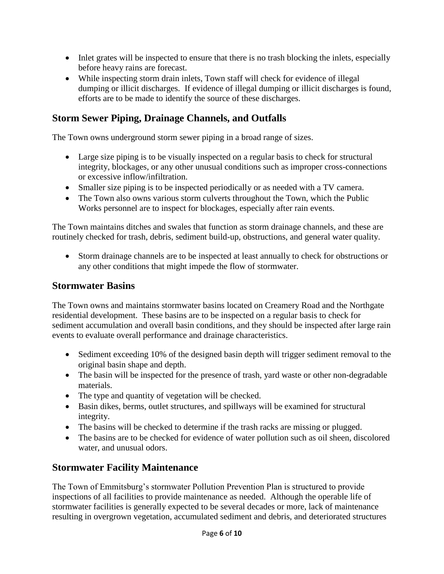- Inlet grates will be inspected to ensure that there is no trash blocking the inlets, especially before heavy rains are forecast.
- While inspecting storm drain inlets, Town staff will check for evidence of illegal dumping or illicit discharges. If evidence of illegal dumping or illicit discharges is found, efforts are to be made to identify the source of these discharges.

## **Storm Sewer Piping, Drainage Channels, and Outfalls**

The Town owns underground storm sewer piping in a broad range of sizes.

- Large size piping is to be visually inspected on a regular basis to check for structural integrity, blockages, or any other unusual conditions such as improper cross-connections or excessive inflow/infiltration.
- Smaller size piping is to be inspected periodically or as needed with a TV camera.
- The Town also owns various storm culverts throughout the Town, which the Public Works personnel are to inspect for blockages, especially after rain events.

The Town maintains ditches and swales that function as storm drainage channels, and these are routinely checked for trash, debris, sediment build-up, obstructions, and general water quality.

 Storm drainage channels are to be inspected at least annually to check for obstructions or any other conditions that might impede the flow of stormwater.

#### **Stormwater Basins**

The Town owns and maintains stormwater basins located on Creamery Road and the Northgate residential development. These basins are to be inspected on a regular basis to check for sediment accumulation and overall basin conditions, and they should be inspected after large rain events to evaluate overall performance and drainage characteristics.

- Sediment exceeding 10% of the designed basin depth will trigger sediment removal to the original basin shape and depth.
- The basin will be inspected for the presence of trash, yard waste or other non-degradable materials.
- The type and quantity of vegetation will be checked.
- Basin dikes, berms, outlet structures, and spillways will be examined for structural integrity.
- The basins will be checked to determine if the trash racks are missing or plugged.
- The basins are to be checked for evidence of water pollution such as oil sheen, discolored water, and unusual odors.

# **Stormwater Facility Maintenance**

The Town of Emmitsburg's stormwater Pollution Prevention Plan is structured to provide inspections of all facilities to provide maintenance as needed. Although the operable life of stormwater facilities is generally expected to be several decades or more, lack of maintenance resulting in overgrown vegetation, accumulated sediment and debris, and deteriorated structures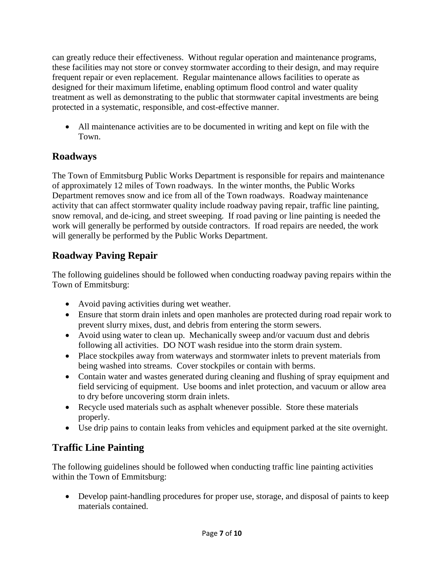can greatly reduce their effectiveness. Without regular operation and maintenance programs, these facilities may not store or convey stormwater according to their design, and may require frequent repair or even replacement. Regular maintenance allows facilities to operate as designed for their maximum lifetime, enabling optimum flood control and water quality treatment as well as demonstrating to the public that stormwater capital investments are being protected in a systematic, responsible, and cost-effective manner.

 All maintenance activities are to be documented in writing and kept on file with the Town.

# **Roadways**

The Town of Emmitsburg Public Works Department is responsible for repairs and maintenance of approximately 12 miles of Town roadways. In the winter months, the Public Works Department removes snow and ice from all of the Town roadways. Roadway maintenance activity that can affect stormwater quality include roadway paving repair, traffic line painting, snow removal, and de-icing, and street sweeping. If road paving or line painting is needed the work will generally be performed by outside contractors. If road repairs are needed, the work will generally be performed by the Public Works Department.

# **Roadway Paving Repair**

The following guidelines should be followed when conducting roadway paving repairs within the Town of Emmitsburg:

- Avoid paving activities during wet weather.
- Ensure that storm drain inlets and open manholes are protected during road repair work to prevent slurry mixes, dust, and debris from entering the storm sewers.
- Avoid using water to clean up. Mechanically sweep and/or vacuum dust and debris following all activities. DO NOT wash residue into the storm drain system.
- Place stockpiles away from waterways and stormwater inlets to prevent materials from being washed into streams. Cover stockpiles or contain with berms.
- Contain water and wastes generated during cleaning and flushing of spray equipment and field servicing of equipment. Use booms and inlet protection, and vacuum or allow area to dry before uncovering storm drain inlets.
- Recycle used materials such as asphalt whenever possible. Store these materials properly.
- Use drip pains to contain leaks from vehicles and equipment parked at the site overnight.

# **Traffic Line Painting**

The following guidelines should be followed when conducting traffic line painting activities within the Town of Emmitsburg:

 Develop paint-handling procedures for proper use, storage, and disposal of paints to keep materials contained.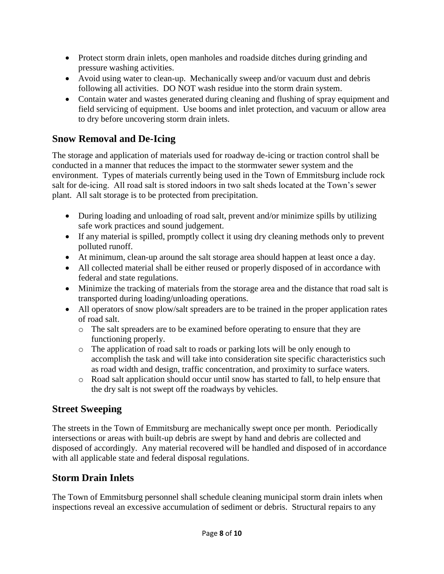- Protect storm drain inlets, open manholes and roadside ditches during grinding and pressure washing activities.
- Avoid using water to clean-up. Mechanically sweep and/or vacuum dust and debris following all activities. DO NOT wash residue into the storm drain system.
- Contain water and wastes generated during cleaning and flushing of spray equipment and field servicing of equipment. Use booms and inlet protection, and vacuum or allow area to dry before uncovering storm drain inlets.

# **Snow Removal and De-Icing**

The storage and application of materials used for roadway de-icing or traction control shall be conducted in a manner that reduces the impact to the stormwater sewer system and the environment. Types of materials currently being used in the Town of Emmitsburg include rock salt for de-icing. All road salt is stored indoors in two salt sheds located at the Town's sewer plant. All salt storage is to be protected from precipitation.

- During loading and unloading of road salt, prevent and/or minimize spills by utilizing safe work practices and sound judgement.
- If any material is spilled, promptly collect it using dry cleaning methods only to prevent polluted runoff.
- At minimum, clean-up around the salt storage area should happen at least once a day.
- All collected material shall be either reused or properly disposed of in accordance with federal and state regulations.
- Minimize the tracking of materials from the storage area and the distance that road salt is transported during loading/unloading operations.
- All operators of snow plow/salt spreaders are to be trained in the proper application rates of road salt.
	- o The salt spreaders are to be examined before operating to ensure that they are functioning properly.
	- o The application of road salt to roads or parking lots will be only enough to accomplish the task and will take into consideration site specific characteristics such as road width and design, traffic concentration, and proximity to surface waters.
	- o Road salt application should occur until snow has started to fall, to help ensure that the dry salt is not swept off the roadways by vehicles.

# **Street Sweeping**

The streets in the Town of Emmitsburg are mechanically swept once per month. Periodically intersections or areas with built-up debris are swept by hand and debris are collected and disposed of accordingly. Any material recovered will be handled and disposed of in accordance with all applicable state and federal disposal regulations.

#### **Storm Drain Inlets**

The Town of Emmitsburg personnel shall schedule cleaning municipal storm drain inlets when inspections reveal an excessive accumulation of sediment or debris. Structural repairs to any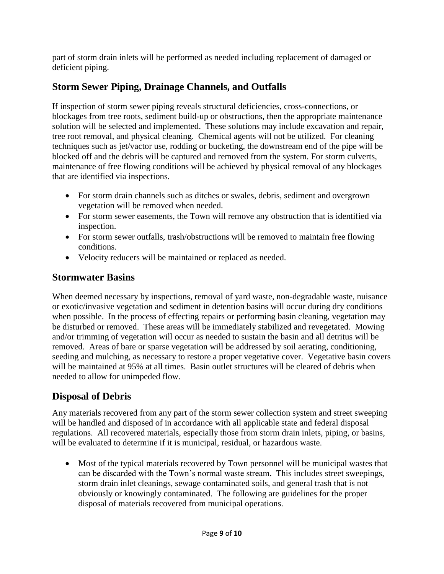part of storm drain inlets will be performed as needed including replacement of damaged or deficient piping.

# **Storm Sewer Piping, Drainage Channels, and Outfalls**

If inspection of storm sewer piping reveals structural deficiencies, cross-connections, or blockages from tree roots, sediment build-up or obstructions, then the appropriate maintenance solution will be selected and implemented. These solutions may include excavation and repair, tree root removal, and physical cleaning. Chemical agents will not be utilized. For cleaning techniques such as jet/vactor use, rodding or bucketing, the downstream end of the pipe will be blocked off and the debris will be captured and removed from the system. For storm culverts, maintenance of free flowing conditions will be achieved by physical removal of any blockages that are identified via inspections.

- For storm drain channels such as ditches or swales, debris, sediment and overgrown vegetation will be removed when needed.
- For storm sewer easements, the Town will remove any obstruction that is identified via inspection.
- For storm sewer outfalls, trash/obstructions will be removed to maintain free flowing conditions.
- Velocity reducers will be maintained or replaced as needed.

## **Stormwater Basins**

When deemed necessary by inspections, removal of yard waste, non-degradable waste, nuisance or exotic/invasive vegetation and sediment in detention basins will occur during dry conditions when possible. In the process of effecting repairs or performing basin cleaning, vegetation may be disturbed or removed. These areas will be immediately stabilized and revegetated. Mowing and/or trimming of vegetation will occur as needed to sustain the basin and all detritus will be removed. Areas of bare or sparse vegetation will be addressed by soil aerating, conditioning, seeding and mulching, as necessary to restore a proper vegetative cover. Vegetative basin covers will be maintained at 95% at all times. Basin outlet structures will be cleared of debris when needed to allow for unimpeded flow.

# **Disposal of Debris**

Any materials recovered from any part of the storm sewer collection system and street sweeping will be handled and disposed of in accordance with all applicable state and federal disposal regulations. All recovered materials, especially those from storm drain inlets, piping, or basins, will be evaluated to determine if it is municipal, residual, or hazardous waste.

 Most of the typical materials recovered by Town personnel will be municipal wastes that can be discarded with the Town's normal waste stream. This includes street sweepings, storm drain inlet cleanings, sewage contaminated soils, and general trash that is not obviously or knowingly contaminated. The following are guidelines for the proper disposal of materials recovered from municipal operations.